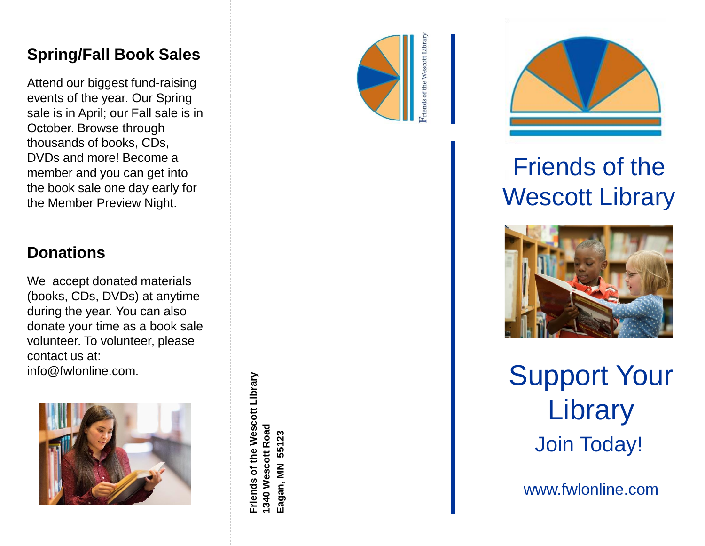### **Spring/Fall Book Sales**

Attend our biggest fund -raising events of the year. Our Spring sale is in April; our Fall sale is in October. Browse through thousands of books, CDs, DVDs and more! Become a member and you can get into the book sale one day early for the Member Preview Night.

### **Donations**

We accept donated materials (books, CDs, DVDs) at anytime during the year. You can also donate your time as a book sale volunteer. To volunteer, please contact us at: info@fwlonline.com.



**Friends of the Wescott Library**

Friends of the Wescott Library

**1340 Wescott Road Eagan, MN 55123**

1340 Wescott Road Eagan, MN 55123





# Friends of the Wescott Library



Support Your **Library** Join Today!

www.fwlonline.com